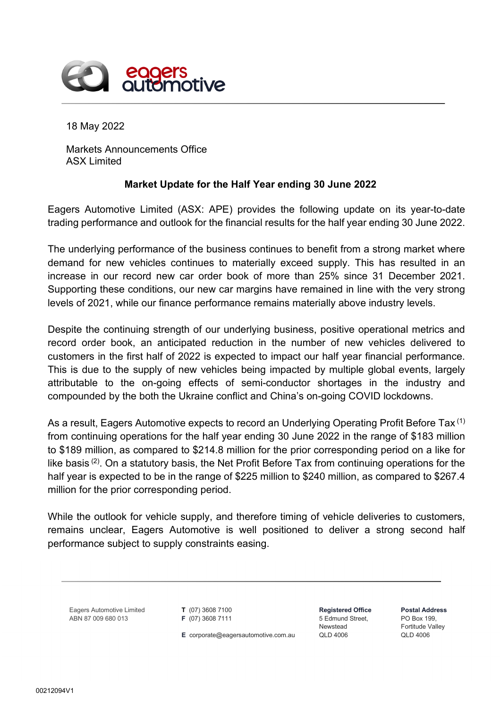

18 May 2022

Markets Announcements Office ASX Limited

## **Market Update for the Half Year ending 30 June 2022**

Eagers Automotive Limited (ASX: APE) provides the following update on its year-to-date trading performance and outlook for the financial results for the half year ending 30 June 2022.

The underlying performance of the business continues to benefit from a strong market where demand for new vehicles continues to materially exceed supply. This has resulted in an increase in our record new car order book of more than 25% since 31 December 2021. Supporting these conditions, our new car margins have remained in line with the very strong levels of 2021, while our finance performance remains materially above industry levels.

Despite the continuing strength of our underlying business, positive operational metrics and record order book, an anticipated reduction in the number of new vehicles delivered to customers in the first half of 2022 is expected to impact our half year financial performance. This is due to the supply of new vehicles being impacted by multiple global events, largely attributable to the on-going effects of semi-conductor shortages in the industry and compounded by the both the Ukraine conflict and China's on-going COVID lockdowns.

As a result, Eagers Automotive expects to record an Underlying Operating Profit Before Tax<sup>(1)</sup> from continuing operations for the half year ending 30 June 2022 in the range of \$183 million to \$189 million, as compared to \$214.8 million for the prior corresponding period on a like for like basis (2). On a statutory basis, the Net Profit Before Tax from continuing operations for the half year is expected to be in the range of \$225 million to \$240 million, as compared to \$267.4 million for the prior corresponding period.

While the outlook for vehicle supply, and therefore timing of vehicle deliveries to customers, remains unclear, Eagers Automotive is well positioned to deliver a strong second half performance subject to supply constraints easing.

Eagers Automotive Limited ABN 87 009 680 013

**T** (07) 3608 7100 **F** (07) 3608 7111

**E** corporate@eagersautomotive.com.au

**Registered Office** 5 Edmund Street, Newstead QLD 4006

**Postal Address** PO Box 199, Fortitude Valley QLD 4006